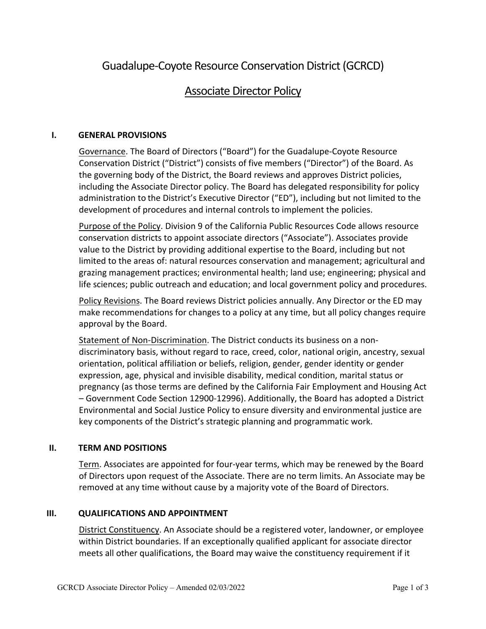# Guadalupe-Coyote Resource Conservation District(GCRCD)

## Associate Director Policy

#### **I. GENERAL PROVISIONS**

Governance. The Board of Directors ("Board") for the Guadalupe-Coyote Resource Conservation District ("District") consists of five members ("Director") of the Board. As the governing body of the District, the Board reviews and approves District policies, including the Associate Director policy. The Board has delegated responsibility for policy administration to the District's Executive Director ("ED"), including but not limited to the development of procedures and internal controls to implement the policies.

Purpose of the Policy. Division 9 of the California Public Resources Code allows resource conservation districts to appoint associate directors ("Associate"). Associates provide value to the District by providing additional expertise to the Board, including but not limited to the areas of: natural resources conservation and management; agricultural and grazing management practices; environmental health; land use; engineering; physical and life sciences; public outreach and education; and local government policy and procedures.

Policy Revisions. The Board reviews District policies annually. Any Director or the ED may make recommendations for changes to a policy at any time, but all policy changes require approval by the Board.

Statement of Non-Discrimination. The District conducts its business on a nondiscriminatory basis, without regard to race, creed, color, national origin, ancestry, sexual orientation, political affiliation or beliefs, religion, gender, gender identity or gender expression, age, physical and invisible disability, medical condition, marital status or pregnancy (as those terms are defined by the California Fair Employment and Housing Act – Government Code Section 12900-12996). Additionally, the Board has adopted a District Environmental and Social Justice Policy to ensure diversity and environmental justice are key components of the District's strategic planning and programmatic work.

#### **II. TERM AND POSITIONS**

Term. Associates are appointed for four-year terms, which may be renewed by the Board of Directors upon request of the Associate. There are no term limits. An Associate may be removed at any time without cause by a majority vote of the Board of Directors.

#### **III. QUALIFICATIONS AND APPOINTMENT**

District Constituency. An Associate should be a registered voter, landowner, or employee within District boundaries. If an exceptionally qualified applicant for associate director meets all other qualifications, the Board may waive the constituency requirement if it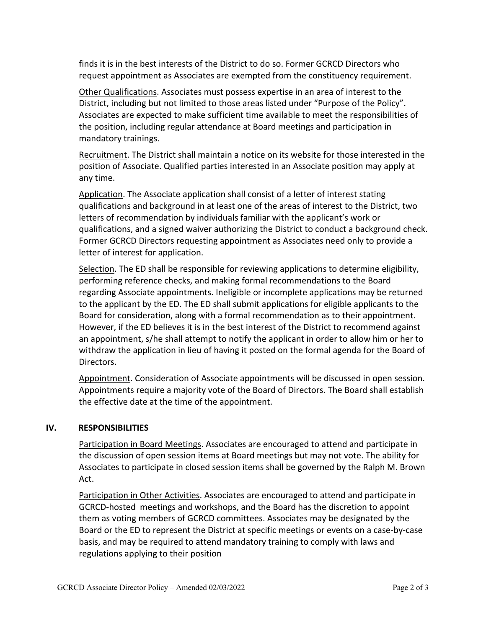finds it is in the best interests of the District to do so. Former GCRCD Directors who request appointment as Associates are exempted from the constituency requirement.

Other Qualifications. Associates must possess expertise in an area of interest to the District, including but not limited to those areas listed under "Purpose of the Policy". Associates are expected to make sufficient time available to meet the responsibilities of the position, including regular attendance at Board meetings and participation in mandatory trainings.

Recruitment. The District shall maintain a notice on its website for those interested in the position of Associate. Qualified parties interested in an Associate position may apply at any time.

Application. The Associate application shall consist of a letter of interest stating qualifications and background in at least one of the areas of interest to the District, two letters of recommendation by individuals familiar with the applicant's work or qualifications, and a signed waiver authorizing the District to conduct a background check. Former GCRCD Directors requesting appointment as Associates need only to provide a letter of interest for application.

Selection. The ED shall be responsible for reviewing applications to determine eligibility, performing reference checks, and making formal recommendations to the Board regarding Associate appointments. Ineligible or incomplete applications may be returned to the applicant by the ED. The ED shall submit applications for eligible applicants to the Board for consideration, along with a formal recommendation as to their appointment. However, if the ED believes it is in the best interest of the District to recommend against an appointment, s/he shall attempt to notify the applicant in order to allow him or her to withdraw the application in lieu of having it posted on the formal agenda for the Board of Directors.

Appointment. Consideration of Associate appointments will be discussed in open session. Appointments require a majority vote of the Board of Directors. The Board shall establish the effective date at the time of the appointment.

### **IV. RESPONSIBILITIES**

Participation in Board Meetings. Associates are encouraged to attend and participate in the discussion of open session items at Board meetings but may not vote. The ability for Associates to participate in closed session items shall be governed by the Ralph M. Brown Act.

Participation in Other Activities. Associates are encouraged to attend and participate in GCRCD-hosted meetings and workshops, and the Board has the discretion to appoint them as voting members of GCRCD committees. Associates may be designated by the Board or the ED to represent the District at specific meetings or events on a case-by-case basis, and may be required to attend mandatory training to comply with laws and regulations applying to their position